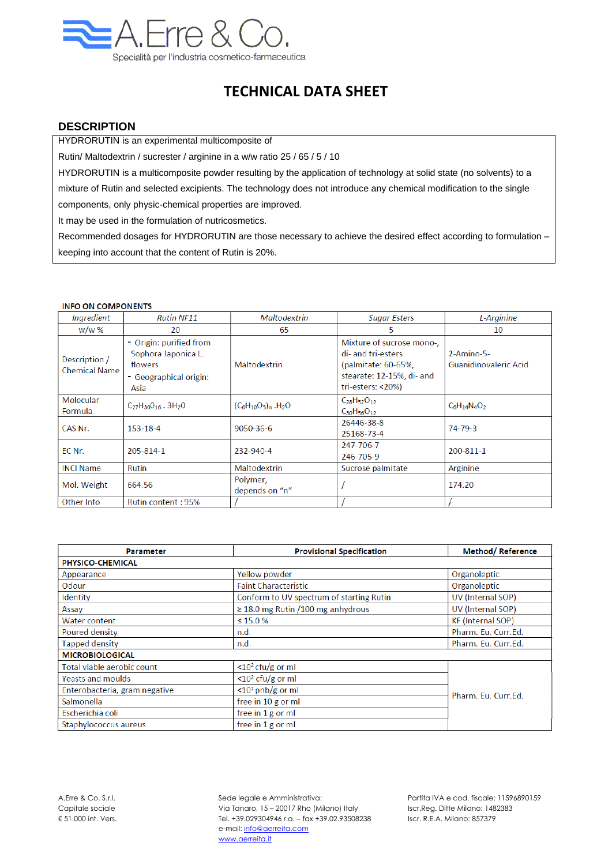

## **TECHNICAL DATA SHEET**

## **DESCRIPTION**

HYDRORUTIN is an experimental multicomposite of

Rutin/ Maltodextrin / sucrester / arginine in a w/w ratio 25 / 65 / 5 / 10

HYDRORUTIN is a multicomposite powder resulting by the application of technology at solid state (no solvents) to a mixture of Rutin and selected excipients. The technology does not introduce any chemical modification to the single

components, only physic-chemical properties are improved.

It may be used in the formulation of nutricosmetics.

Recommended dosages for HYDRORUTIN are those necessary to achieve the desired effect according to formulation – keeping into account that the content of Rutin is 20%.

## **INFO ON COMPONENTS**

| <i>Ingredient</i>                     | <b>Rutin NF11</b>                                                                           | <b>Maltodextrin</b>                  | <b>Sugar Esters</b>                                                                                                      | L-Arginine                            |
|---------------------------------------|---------------------------------------------------------------------------------------------|--------------------------------------|--------------------------------------------------------------------------------------------------------------------------|---------------------------------------|
| w/w %                                 | 20                                                                                          | 65                                   | 5                                                                                                                        | 10                                    |
| Description /<br><b>Chemical Name</b> | - Origin: purified from<br>Sophora Japonica L.<br>flowers<br>- Geographical origin:<br>Asia | Maltodextrin                         | Mixture of sucrose mono-,<br>di- and tri-esters<br>(palmitate: 60-65%,<br>stearate: 12-15%, di- and<br>tri-esters: <20%) | $2-Amino-5-$<br>Guanidinovaleric Acid |
| Molecular<br>Formula                  | $C_{27}H_{30}O_{16}$ . 3H <sub>2</sub> O                                                    | $(C_6H_{10}O_5)_n$ .H <sub>2</sub> O | $C_{28}H_{52}O_{12}$<br>$C_{30}H_{56}O_{12}$                                                                             | $C_6H_{14}N_4O_2$                     |
| CAS Nr.                               | 153-18-4                                                                                    | 9050-36-6                            | 26446-38-8<br>25168-73-4                                                                                                 | 74-79-3                               |
| EC Nr.                                | 205-814-1                                                                                   | 232-940-4                            | 247-706-7<br>246-705-9                                                                                                   | 200-811-1                             |
| <b>INCI Name</b>                      | <b>Rutin</b>                                                                                | Maltodextrin                         | Sucrose palmitate                                                                                                        | Arginine                              |
| Mol. Weight                           | 664.56                                                                                      | Polymer,<br>depends on "n"           |                                                                                                                          | 174.20                                |
| Other Info                            | Rutin content: 95%                                                                          |                                      |                                                                                                                          |                                       |

| Parameter                     | <b>Provisional Specification</b>         | <b>Method/Reference</b>  |  |  |  |
|-------------------------------|------------------------------------------|--------------------------|--|--|--|
| PHYSICO-CHEMICAL              |                                          |                          |  |  |  |
| Appearance                    | Yellow powder                            | Organoleptic             |  |  |  |
| Odour                         | <b>Faint Characteristic</b>              | Organoleptic             |  |  |  |
| Identity                      | Conform to UV spectrum of starting Rutin | UV (Internal SOP)        |  |  |  |
| Assay                         | $\geq$ 18.0 mg Rutin / 100 mg anhydrous  | UV (Internal SOP)        |  |  |  |
| <b>Water content</b>          | $\leq 15.0 \%$                           | <b>KF</b> (Internal SOP) |  |  |  |
| Poured density                | n.d.                                     | Pharm. Eu. Curr.Ed.      |  |  |  |
| <b>Tapped density</b>         | n.d.                                     | Pharm. Eu. Curr.Ed.      |  |  |  |
| <b>MICROBIOLOGICAL</b>        |                                          |                          |  |  |  |
| Total viable aerobic count    | $<$ 10 <sup>2</sup> cfu/g or ml          |                          |  |  |  |
| <b>Yeasts and moulds</b>      | $<$ 10 <sup>2</sup> cfu/g or ml          |                          |  |  |  |
| Enterobacteria, gram negative | $<$ 10 <sup>2</sup> pnb/g or ml          | Pharm, Fu, Curr, Ed.     |  |  |  |
| Salmonella                    | free in 10 g or ml                       |                          |  |  |  |
| Escherichia coli              | free in $1$ g or ml                      |                          |  |  |  |
| Staphylococcus aureus         | free in $1$ g or ml                      |                          |  |  |  |

A.Erre & Co. S.r.l. Sede legale e Amministrativa: Partita IVA e cod. fiscale: 11596890159 Capitale sociale Via Tanaro, 15 – 20017 Rho (Milano) Italy Iscr.Reg. Ditte Milano: 1482383 € 51.000 int. Vers. Tel. +39.029304946 r.a. – fax +39.02.93508238 Iscr. R.E.A. Milano: 857379 e-mail: info@aerreita.com www.aerreita.it